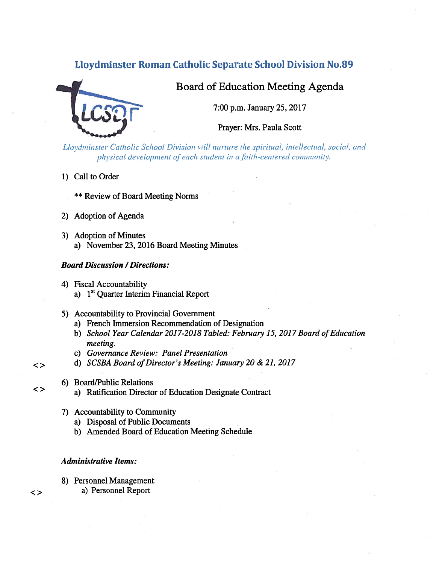# Lloydminster Roman Catholic Separate School Division No.89



# Board of Education Meeting Agenda

7:00 p.m. January 25, 2017

Prayer: Mrs. Paula Scott

Lloydminster Catholic School Division will nurture the spiritual, intellectual, social, and physical development of each student in a faith-centered community.

- 1) Call to Order
	- \*\* Review of Board Meeting Norms
- 2) Adoption of Agenda
- 3) Adoption of Minutes a) November 23, 2016 Board Meeting Minutes

#### Board Discussion /Directions:

- 4) Fiscal Accountability a)  $1<sup>st</sup>$  Quarter Interim Financial Report
- 5) Accountability to Provincial Government
	- a) French Immersion Recommendation of Designation
	- b) School Year Calendar 2017-2018 Tabled: February 15, 2017 Board of Education meeting.
	- c) Governance Review: Panel Presentation
- d) SCSBA Board of Director's Meeting: January 20 & 21, 2017
- 6) Board/Public Relations
- <> a) Ratification Director of Education Designate Contract
	- 7) Accountability to Community
		- a) Disposal of Public Documents
		- b) Amended Board of Education Meeting Schedule

### Administrative Items:

8) Personnel Management a) Personnel Report

 $\lt$ 

 $\langle$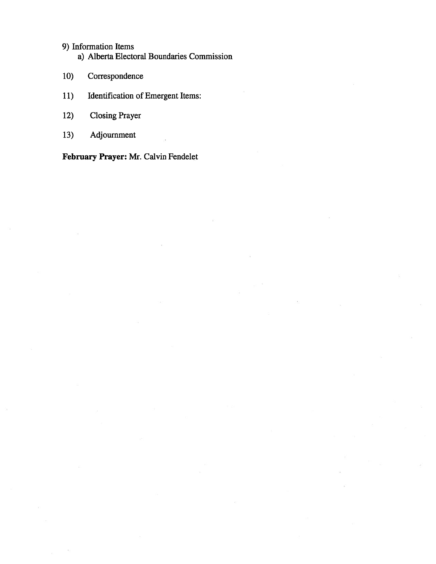# 9) Information Items

a) Alberta Electoral Boundaries Commission

- 10) Correspondence
- 11) Identification of Emergent Items:
- 12) Closing Prayer
- 13) Adjournment

February Prayer: Mr. Calvin Fendelet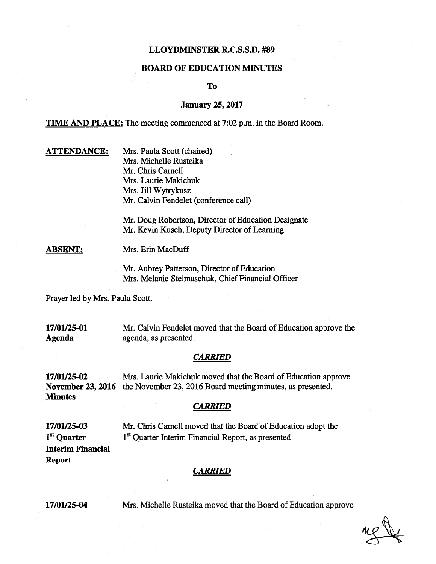# LLOYDMINSTER R.C.S.S.D. #89

# BOARD OF EDUCATION MINUTES

To

## January 25, 2017

TIME AND PLACE: The meeting commenced at 7:02 p.m. in the Board Room.

**ATTENDANCE:** Mrs. Paula Scott (chaired) Mrs. Michelle Rusteika Mr. Chris Carnell Mrs. Laurie Makichuk Mrs. Jill Wytrykusz Mr. Calvin Fendelet (conference call)

> Mr. Doug Robertson, Director of Education Designate Mr. Kevin Kusch, Deputy Director of Learning

ABSENT: Mrs. Erin MacDuff

Mr. Aubrey Patterson, Director of Education Mrs. Melanie Stelmaschuk, Chief Financial Officer

Prayer led by Mrs. Paula Scott.

17/01/25-01 Mr. Calvin Fendelet moved that the Board of Education approve the Agenda agenda, as presented.

#### **CARRIED**

17/01125-02 Mrs. Laurie Makichuk moved that the Board of Education approve November 23, 2016 the November 23, 2016 Board meeting minutes, as presented. **Minutes** 

#### **CARRIED**

17/01/25-03 Mr. Chris Carnell moved that the Board of Education adopt the  $1<sup>st</sup>$  Quarter  $1<sup>st</sup>$  Quarter Interim Financial Report, as presented. Interim Financial Report

#### **CARRIED**

17/01/25-04 Mrs. Michelle Rusteika moved that the Board of Education approve